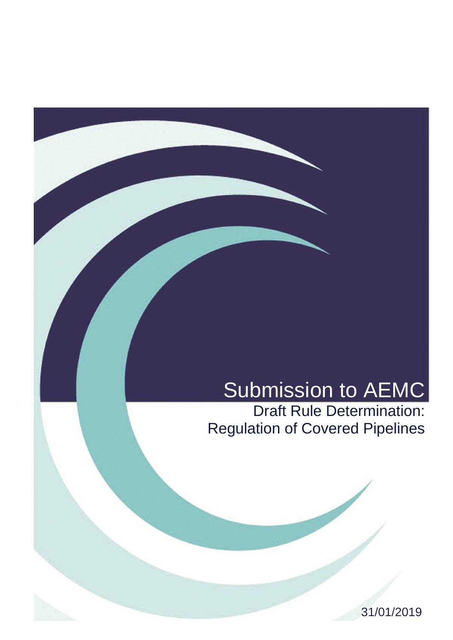# Submission to AEMC

Draft Rule Determination: Regulation of Covered Pipelines

31/01/2019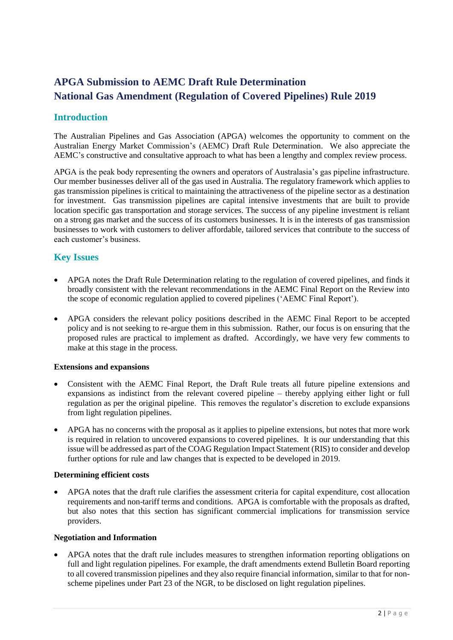## **APGA Submission to AEMC Draft Rule Determination National Gas Amendment (Regulation of Covered Pipelines) Rule 2019**

## **Introduction**

The Australian Pipelines and Gas Association (APGA) welcomes the opportunity to comment on the Australian Energy Market Commission's (AEMC) Draft Rule Determination. We also appreciate the AEMC's constructive and consultative approach to what has been a lengthy and complex review process.

APGA is the peak body representing the owners and operators of Australasia's gas pipeline infrastructure. Our member businesses deliver all of the gas used in Australia. The regulatory framework which applies to gas transmission pipelines is critical to maintaining the attractiveness of the pipeline sector as a destination for investment. Gas transmission pipelines are capital intensive investments that are built to provide location specific gas transportation and storage services. The success of any pipeline investment is reliant on a strong gas market and the success of its customers businesses. It is in the interests of gas transmission businesses to work with customers to deliver affordable, tailored services that contribute to the success of each customer's business.

## **Key Issues**

- APGA notes the Draft Rule Determination relating to the regulation of covered pipelines, and finds it broadly consistent with the relevant recommendations in the AEMC Final Report on the Review into the scope of economic regulation applied to covered pipelines ('AEMC Final Report').
- APGA considers the relevant policy positions described in the AEMC Final Report to be accepted policy and is not seeking to re-argue them in this submission. Rather, our focus is on ensuring that the proposed rules are practical to implement as drafted. Accordingly, we have very few comments to make at this stage in the process.

### **Extensions and expansions**

- Consistent with the AEMC Final Report, the Draft Rule treats all future pipeline extensions and expansions as indistinct from the relevant covered pipeline – thereby applying either light or full regulation as per the original pipeline. This removes the regulator's discretion to exclude expansions from light regulation pipelines.
- APGA has no concerns with the proposal as it applies to pipeline extensions, but notes that more work is required in relation to uncovered expansions to covered pipelines. It is our understanding that this issue will be addressed as part of the COAG Regulation Impact Statement (RIS) to consider and develop further options for rule and law changes that is expected to be developed in 2019.

### **Determining efficient costs**

• APGA notes that the draft rule clarifies the assessment criteria for capital expenditure, cost allocation requirements and non-tariff terms and conditions. APGA is comfortable with the proposals as drafted, but also notes that this section has significant commercial implications for transmission service providers.

### **Negotiation and Information**

• APGA notes that the draft rule includes measures to strengthen information reporting obligations on full and light regulation pipelines. For example, the draft amendments extend Bulletin Board reporting to all covered transmission pipelines and they also require financial information, similar to that for nonscheme pipelines under Part 23 of the NGR, to be disclosed on light regulation pipelines.